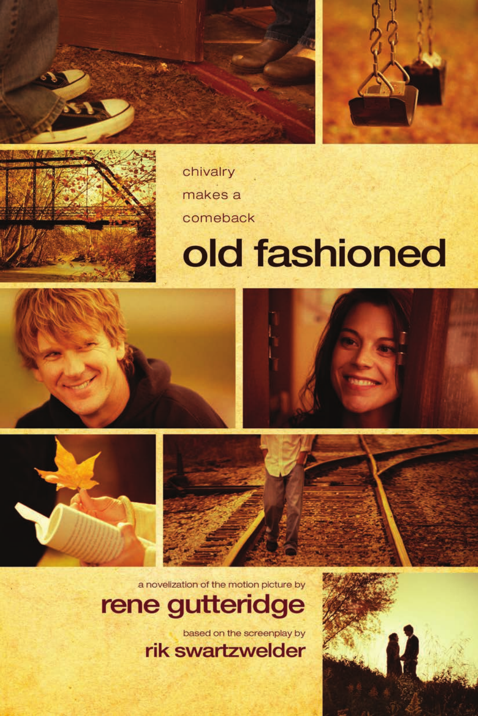





chivalry makes a comeback











a novelization of the motion picture by

## rene gutteridge

based on the screenplay by

rik swartzwelder

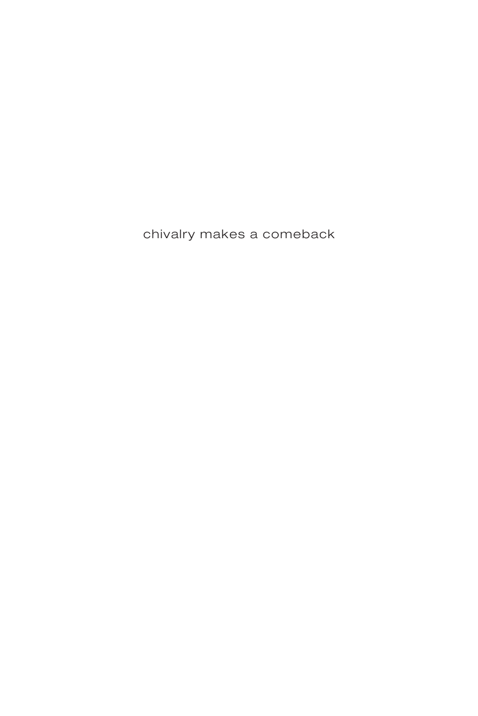chivalry makes a comeback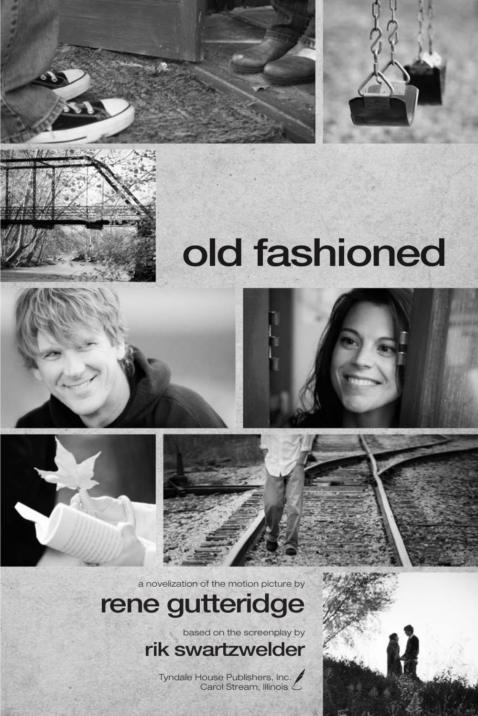





# old fashioned









a novelization of the motion picture by

## rene gutteridge

based on the screenplay by

rik swartzwelder

Tyndale House Publishers, Inc. Carol Stream, Illinois

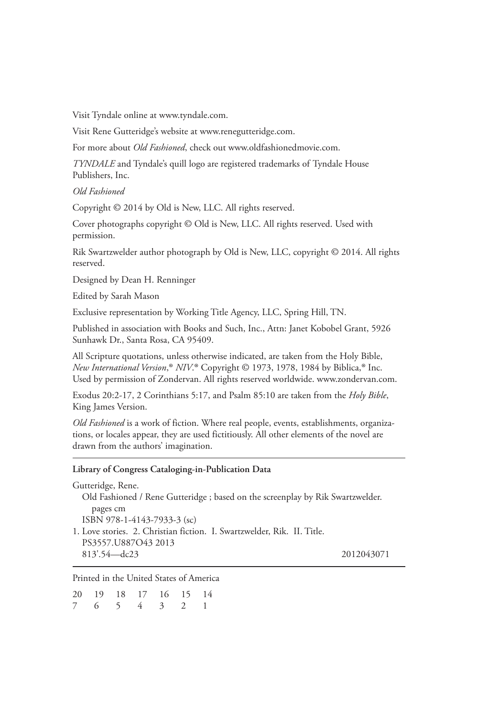Visit Tyndale online at www.tyndale.com.

Visit Rene Gutteridge's website at www.renegutteridge.com.

For more about *Old Fashioned*, check out www.oldfashionedmovie.com.

*TYNDALE* and Tyndale's quill logo are registered trademarks of Tyndale House Publishers, Inc.

*Old Fashioned*

Copyright © 2014 by Old is New, LLC. All rights reserved.

Cover photographs copyright © Old is New, LLC. All rights reserved. Used with permission.

Rik Swartzwelder author photograph by Old is New, LLC, copyright © 2014. All rights reserved.

Designed by Dean H. Renninger

Edited by Sarah Mason

Exclusive representation by Working Title Agency, LLC, Spring Hill, TN.

Published in association with Books and Such, Inc., Attn: Janet Kobobel Grant, 5926 Sunhawk Dr., Santa Rosa, CA 95409.

All Scripture quotations, unless otherwise indicated, are taken from the Holy Bible, *New International Version*,® *NIV*.® Copyright © 1973, 1978, 1984 by Biblica,® Inc. Used by permission of Zondervan. All rights reserved worldwide. www.zondervan.com.

Exodus 20:2-17, 2 Corinthians 5:17, and Psalm 85:10 are taken from the *Holy Bible*, King James Version.

*Old Fashioned* is a work of fiction. Where real people, events, establishments, organizations, or locales appear, they are used fictitiously. All other elements of the novel are drawn from the authors' imagination.

#### **Library of Congress Cataloging-in-Publication Data**

Gutteridge, Rene. Old Fashioned / Rene Gutteridge ; based on the screenplay by Rik Swartzwelder. pages cm ISBN 978-1-4143-7933-3 (sc) 1. Love stories. 2. Christian fiction. I. Swartzwelder, Rik. II. Title. PS3557.U887O43 2013 813'.54—dc23 2012043071

Printed in the United States of America

|  |  | 20 19 18 17 16 15 14 |  |
|--|--|----------------------|--|
|  |  | 7 6 5 4 3 2 1        |  |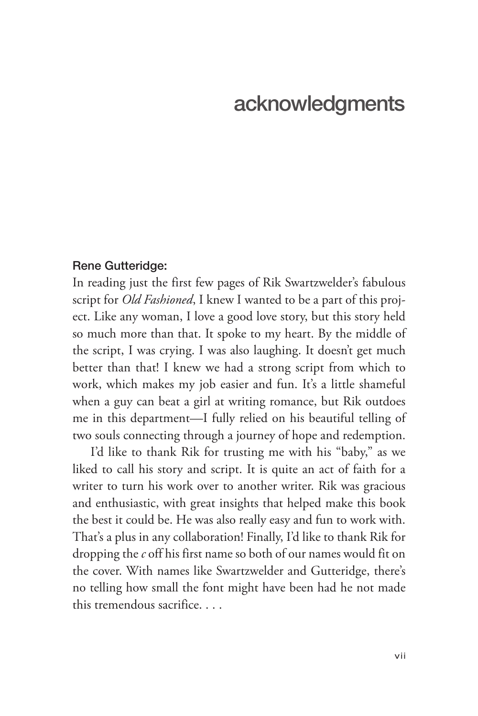## acknowledgments

### Rene Gutteridge:

In reading just the first few pages of Rik Swartzwelder's fabulous script for *Old Fashioned*, I knew I wanted to be a part of this project. Like any woman, I love a good love story, but this story held so much more than that. It spoke to my heart. By the middle of the script, I was crying. I was also laughing. It doesn't get much better than that! I knew we had a strong script from which to work, which makes my job easier and fun. It's a little shameful when a guy can beat a girl at writing romance, but Rik outdoes me in this department—I fully relied on his beautiful telling of two souls connecting through a journey of hope and redemption.

I'd like to thank Rik for trusting me with his "baby," as we liked to call his story and script. It is quite an act of faith for a writer to turn his work over to another writer. Rik was gracious and enthusiastic, with great insights that helped make this book the best it could be. He was also really easy and fun to work with. That's a plus in any collaboration! Finally, I'd like to thank Rik for dropping the *c* off his first name so both of our names would fit on the cover. With names like Swartzwelder and Gutteridge, there's no telling how small the font might have been had he not made this tremendous sacrifice. . . .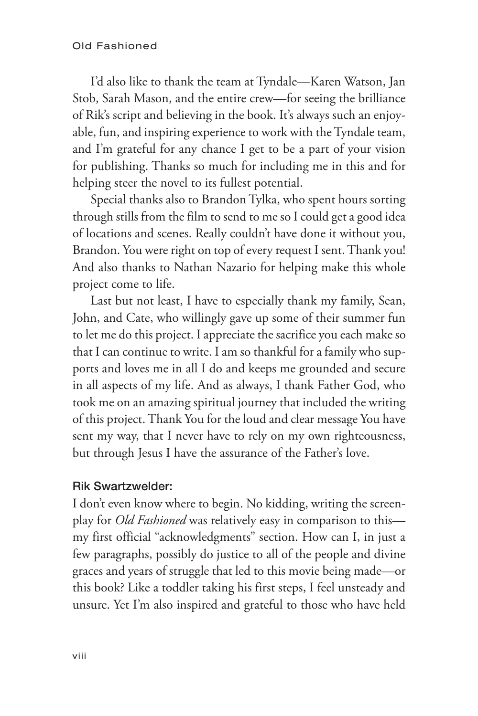I'd also like to thank the team at Tyndale—Karen Watson, Jan Stob, Sarah Mason, and the entire crew—for seeing the brilliance of Rik's script and believing in the book. It's always such an enjoyable, fun, and inspiring experience to work with the Tyndale team, and I'm grateful for any chance I get to be a part of your vision for publishing. Thanks so much for including me in this and for helping steer the novel to its fullest potential.

Special thanks also to Brandon Tylka, who spent hours sorting through stills from the film to send to me so I could get a good idea of locations and scenes. Really couldn't have done it without you, Brandon. You were right on top of every request I sent. Thank you! And also thanks to Nathan Nazario for helping make this whole project come to life.

Last but not least, I have to especially thank my family, Sean, John, and Cate, who willingly gave up some of their summer fun to let me do this project. I appreciate the sacrifice you each make so that I can continue to write. I am so thankful for a family who supports and loves me in all I do and keeps me grounded and secure in all aspects of my life. And as always, I thank Father God, who took me on an amazing spiritual journey that included the writing of this project. Thank You for the loud and clear message You have sent my way, that I never have to rely on my own righteousness, but through Jesus I have the assurance of the Father's love.

## Rik Swartzwelder:

I don't even know where to begin. No kidding, writing the screenplay for *Old Fashioned* was relatively easy in comparison to this my first official "acknowledgments" section. How can I, in just a few paragraphs, possibly do justice to all of the people and divine graces and years of struggle that led to this movie being made—or this book? Like a toddler taking his first steps, I feel unsteady and unsure. Yet I'm also inspired and grateful to those who have held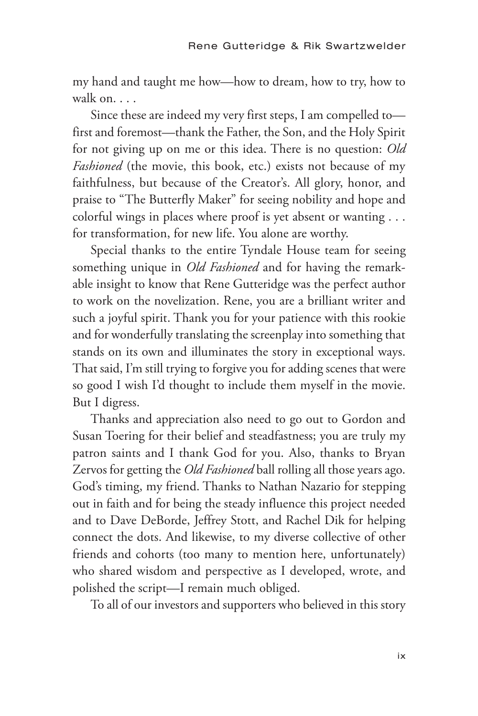my hand and taught me how—how to dream, how to try, how to walk on. . . .

Since these are indeed my very first steps, I am compelled to first and foremost-thank the Father, the Son, and the Holy Spirit for not giving up on me or this idea. There is no question: *Old Fashioned* (the movie, this book, etc.) exists not because of my faithfulness, but because of the Creator's. All glory, honor, and praise to "The Butterfly Maker" for seeing nobility and hope and colorful wings in places where proof is yet absent or wanting . . . for transformation, for new life. You alone are worthy.

Special thanks to the entire Tyndale House team for seeing something unique in *Old Fashioned* and for having the remarkable insight to know that Rene Gutteridge was the perfect author to work on the novelization. Rene, you are a brilliant writer and such a joyful spirit. Thank you for your patience with this rookie and for wonderfully translating the screenplay into something that stands on its own and illuminates the story in exceptional ways. That said, I'm still trying to forgive you for adding scenes that were so good I wish I'd thought to include them myself in the movie. But I digress.

Thanks and appreciation also need to go out to Gordon and Susan Toering for their belief and steadfastness; you are truly my patron saints and I thank God for you. Also, thanks to Bryan Zervos for getting the *Old Fashioned* ball rolling all those years ago. God's timing, my friend. Thanks to Nathan Nazario for stepping out in faith and for being the steady influence this project needed and to Dave DeBorde, Jeffrey Stott, and Rachel Dik for helping connect the dots. And likewise, to my diverse collective of other friends and cohorts (too many to mention here, unfortunately) who shared wisdom and perspective as I developed, wrote, and polished the script—I remain much obliged.

To all of our investors and supporters who believed in this story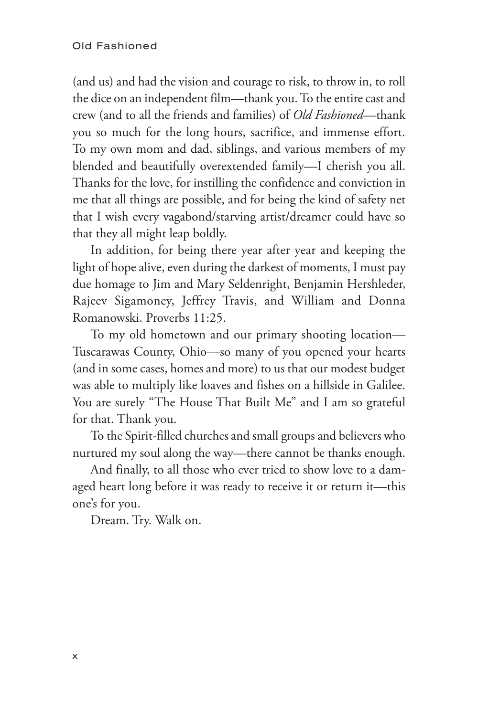(and us) and had the vision and courage to risk, to throw in, to roll the dice on an independent film—thank you. To the entire cast and crew (and to all the friends and families) of *Old Fashioned*—thank you so much for the long hours, sacrifice, and immense effort. To my own mom and dad, siblings, and various members of my blended and beautifully overextended family-I cherish you all. Thanks for the love, for instilling the confidence and conviction in me that all things are possible, and for being the kind of safety net that I wish every vagabond/starving artist/dreamer could have so that they all might leap boldly.

In addition, for being there year after year and keeping the light of hope alive, even during the darkest of moments, I must pay due homage to Jim and Mary Seldenright, Benjamin Hershleder, Rajeev Sigamoney, Jeffrey Travis, and William and Donna Romanowski. Proverbs 11:25.

To my old hometown and our primary shooting location— Tuscarawas County, Ohio—so many of you opened your hearts (and in some cases, homes and more) to us that our modest budget was able to multiply like loaves and fishes on a hillside in Galilee. You are surely "The House That Built Me" and I am so grateful for that. Thank you.

To the Spirit-filled churches and small groups and believers who nurtured my soul along the way—there cannot be thanks enough.

And finally, to all those who ever tried to show love to a damaged heart long before it was ready to receive it or return it—this one's for you.

Dream. Try. Walk on.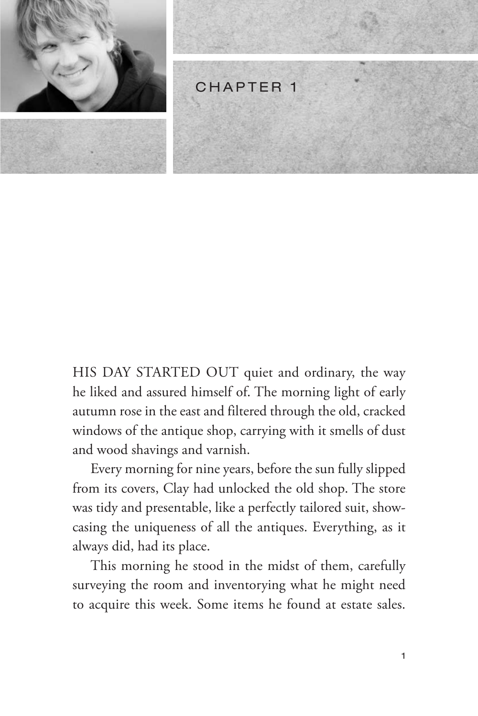

**CHAPTER 1** 

HIS DAY STARTED OUT quiet and ordinary, the way he liked and assured himself of. The morning light of early autumn rose in the east and filtered through the old, cracked windows of the antique shop, carrying with it smells of dust and wood shavings and varnish.

Every morning for nine years, before the sun fully slipped from its covers, Clay had unlocked the old shop. The store was tidy and presentable, like a perfectly tailored suit, showcasing the uniqueness of all the antiques. Everything, as it always did, had its place.

This morning he stood in the midst of them, carefully surveying the room and inventorying what he might need to acquire this week. Some items he found at estate sales.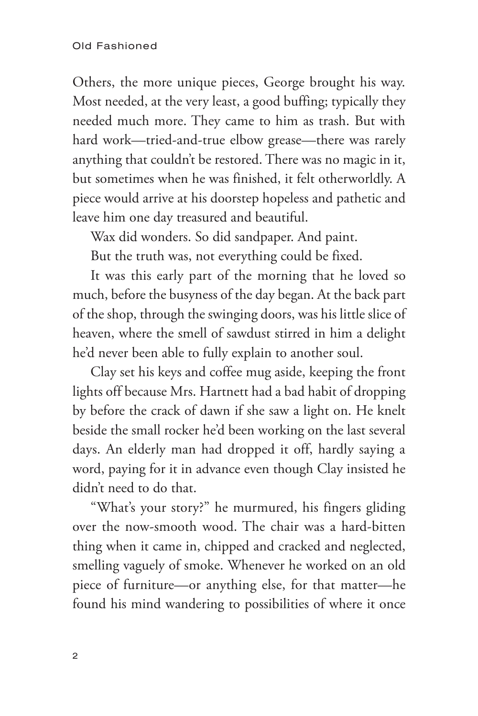Others, the more unique pieces, George brought his way. Most needed, at the very least, a good buffing; typically they needed much more. They came to him as trash. But with hard work—tried-and-true elbow grease—there was rarely anything that couldn't be restored. There was no magic in it, but sometimes when he was finished, it felt otherworldly. A piece would arrive at his doorstep hopeless and pathetic and leave him one day treasured and beautiful.

Wax did wonders. So did sandpaper. And paint.

But the truth was, not everything could be fixed.

It was this early part of the morning that he loved so much, before the busyness of the day began. At the back part of the shop, through the swinging doors, was his little slice of heaven, where the smell of sawdust stirred in him a delight he'd never been able to fully explain to another soul.

Clay set his keys and coffee mug aside, keeping the front lights off because Mrs. Hartnett had a bad habit of dropping by before the crack of dawn if she saw a light on. He knelt beside the small rocker he'd been working on the last several days. An elderly man had dropped it off, hardly saying a word, paying for it in advance even though Clay insisted he didn't need to do that.

"What's your story?" he murmured, his fingers gliding over the now-smooth wood. The chair was a hard-bitten thing when it came in, chipped and cracked and neglected, smelling vaguely of smoke. Whenever he worked on an old piece of furniture—or anything else, for that matter—he found his mind wandering to possibilities of where it once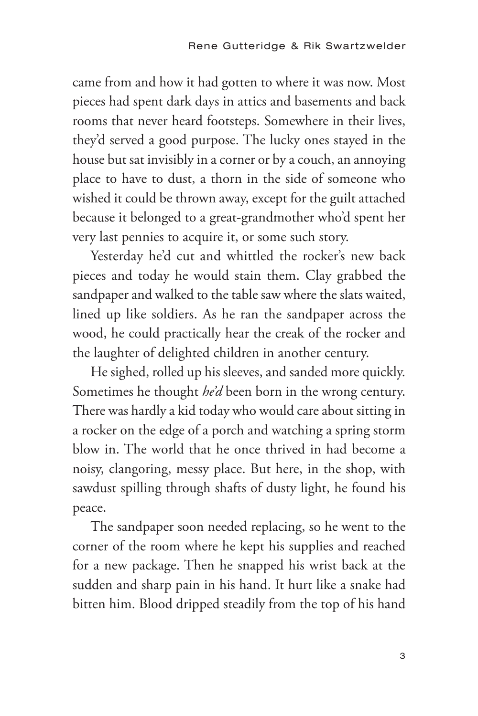came from and how it had gotten to where it was now. Most pieces had spent dark days in attics and basements and back rooms that never heard footsteps. Somewhere in their lives, they'd served a good purpose. The lucky ones stayed in the house but sat invisibly in a corner or by a couch, an annoying place to have to dust, a thorn in the side of someone who wished it could be thrown away, except for the guilt attached because it belonged to a great-grandmother who'd spent her very last pennies to acquire it, or some such story.

Yesterday he'd cut and whittled the rocker's new back pieces and today he would stain them. Clay grabbed the sandpaper and walked to the table saw where the slats waited, lined up like soldiers. As he ran the sandpaper across the wood, he could practically hear the creak of the rocker and the laughter of delighted children in another century.

He sighed, rolled up his sleeves, and sanded more quickly. Sometimes he thought *he'd* been born in the wrong century. There was hardly a kid today who would care about sitting in a rocker on the edge of a porch and watching a spring storm blow in. The world that he once thrived in had become a noisy, clangoring, messy place. But here, in the shop, with sawdust spilling through shafts of dusty light, he found his peace.

The sandpaper soon needed replacing, so he went to the corner of the room where he kept his supplies and reached for a new package. Then he snapped his wrist back at the sudden and sharp pain in his hand. It hurt like a snake had bitten him. Blood dripped steadily from the top of his hand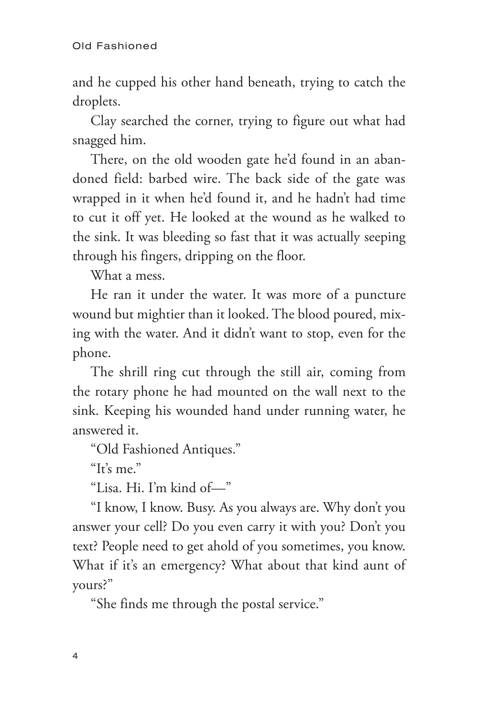and he cupped his other hand beneath, trying to catch the droplets.

Clay searched the corner, trying to figure out what had snagged him.

There, on the old wooden gate he'd found in an abandoned field: barbed wire. The back side of the gate was wrapped in it when he'd found it, and he hadn't had time to cut it off yet. He looked at the wound as he walked to the sink. It was bleeding so fast that it was actually seeping through his fingers, dripping on the floor.

What a mess.

He ran it under the water. It was more of a puncture wound but mightier than it looked. The blood poured, mixing with the water. And it didn't want to stop, even for the phone.

The shrill ring cut through the still air, coming from the rotary phone he had mounted on the wall next to the sink. Keeping his wounded hand under running water, he answered it.

"Old Fashioned Antiques."

" $It's me.$ "

"Lisa. Hi. I'm kind of—"

"I know, I know. Busy. As you always are. Why don't you answer your cell? Do you even carry it with you? Don't you text? People need to get ahold of you sometimes, you know. What if it's an emergency? What about that kind aunt of yours?"

"She finds me through the postal service."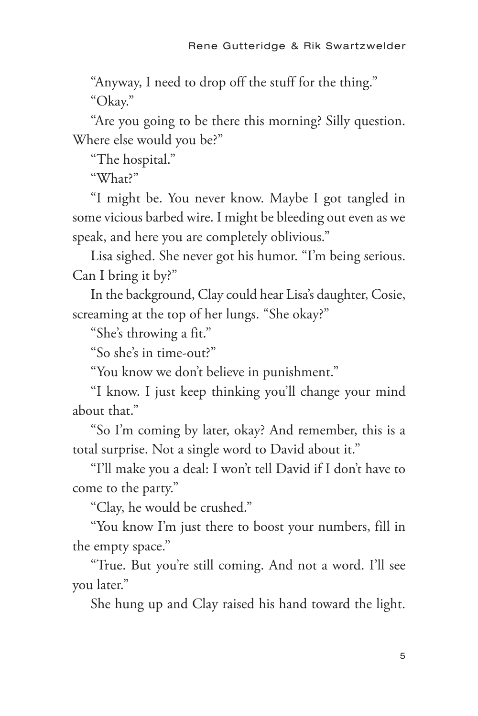"Anyway, I need to drop off the stuff for the thing." "Okay."

"Are you going to be there this morning? Silly question. Where else would you be?"

"The hospital."

"What?"

"I might be. You never know. Maybe I got tangled in some vicious barbed wire. I might be bleeding out even as we speak, and here you are completely oblivious."

Lisa sighed. She never got his humor. "I'm being serious. Can I bring it by?"

In the background, Clay could hear Lisa's daughter, Cosie, screaming at the top of her lungs. "She okay?"

"She's throwing a fit."

"So she's in time-out?"

"You know we don't believe in punishment."

"I know. I just keep thinking you'll change your mind about that."

"So I'm coming by later, okay? And remember, this is a total surprise. Not a single word to David about it."

"I'll make you a deal: I won't tell David if I don't have to come to the party."

"Clay, he would be crushed."

"You know I'm just there to boost your numbers, fill in the empty space."

"True. But you're still coming. And not a word. I'll see you later."

She hung up and Clay raised his hand toward the light.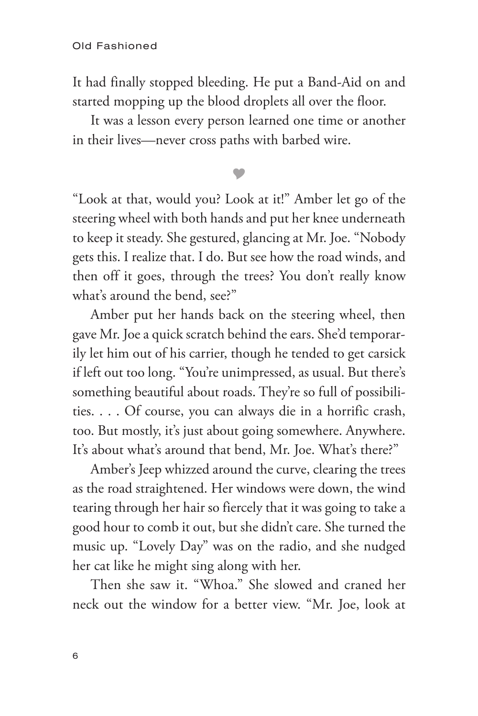It had finally stopped bleeding. He put a Band-Aid on and started mopping up the blood droplets all over the floor.

It was a lesson every person learned one time or another in their lives—never cross paths with barbed wire.

## $\bullet$

"Look at that, would you? Look at it!" Amber let go of the steering wheel with both hands and put her knee underneath to keep it steady. She gestured, glancing at Mr. Joe. "Nobody gets this. I realize that. I do. But see how the road winds, and then off it goes, through the trees? You don't really know what's around the bend, see?"

Amber put her hands back on the steering wheel, then gave Mr. Joe a quick scratch behind the ears. She'd temporarily let him out of his carrier, though he tended to get carsick if left out too long. "You're unimpressed, as usual. But there's something beautiful about roads. They're so full of possibilities. . . . Of course, you can always die in a horrific crash, too. But mostly, it's just about going somewhere. Anywhere. It's about what's around that bend, Mr. Joe. What's there?"

Amber's Jeep whizzed around the curve, clearing the trees as the road straightened. Her windows were down, the wind tearing through her hair so fiercely that it was going to take a good hour to comb it out, but she didn't care. She turned the music up. "Lovely Day" was on the radio, and she nudged her cat like he might sing along with her.

Then she saw it. "Whoa." She slowed and craned her neck out the window for a better view. "Mr. Joe, look at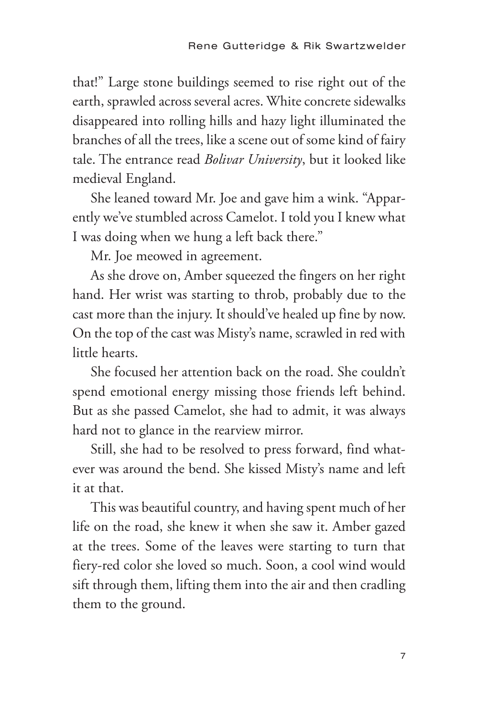that!" Large stone buildings seemed to rise right out of the earth, sprawled across several acres. White concrete sidewalks disappeared into rolling hills and hazy light illuminated the branches of all the trees, like a scene out of some kind of fairy tale. The entrance read *Bolivar University*, but it looked like medieval England.

She leaned toward Mr. Joe and gave him a wink. "Apparently we've stumbled across Camelot. I told you I knew what I was doing when we hung a left back there."

Mr. Joe meowed in agreement.

As she drove on, Amber squeezed the fingers on her right hand. Her wrist was starting to throb, probably due to the cast more than the injury. It should've healed up fine by now. On the top of the cast was Misty's name, scrawled in red with little hearts.

She focused her attention back on the road. She couldn't spend emotional energy missing those friends left behind. But as she passed Camelot, she had to admit, it was always hard not to glance in the rearview mirror.

Still, she had to be resolved to press forward, find whatever was around the bend. She kissed Misty's name and left it at that.

This was beautiful country, and having spent much of her life on the road, she knew it when she saw it. Amber gazed at the trees. Some of the leaves were starting to turn that fiery-red color she loved so much. Soon, a cool wind would sift through them, lifting them into the air and then cradling them to the ground.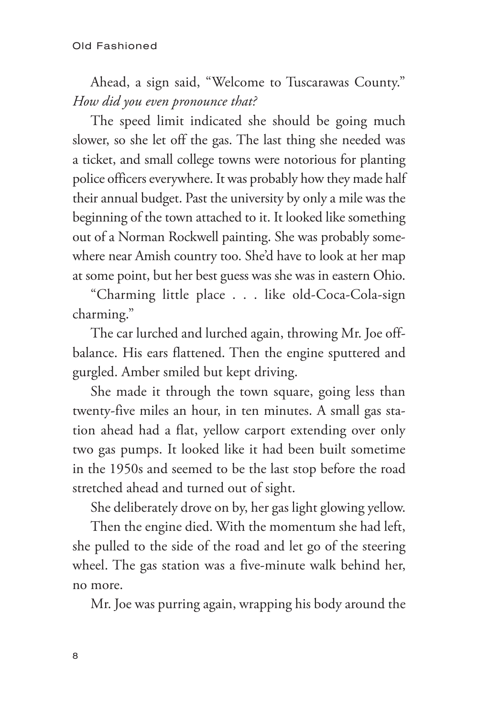Ahead, a sign said, "Welcome to Tuscarawas County." *How did you even pronounce that?*

The speed limit indicated she should be going much slower, so she let off the gas. The last thing she needed was a ticket, and small college towns were notorious for planting police officers everywhere. It was probably how they made half their annual budget. Past the university by only a mile was the beginning of the town attached to it. It looked like something out of a Norman Rockwell painting. She was probably somewhere near Amish country too. She'd have to look at her map at some point, but her best guess was she was in eastern Ohio.

"Charming little place . . . like old-Coca-Cola-sign charming."

The car lurched and lurched again, throwing Mr. Joe offbalance. His ears flattened. Then the engine sputtered and gurgled. Amber smiled but kept driving.

She made it through the town square, going less than twenty-five miles an hour, in ten minutes. A small gas station ahead had a flat, yellow carport extending over only two gas pumps. It looked like it had been built sometime in the 1950s and seemed to be the last stop before the road stretched ahead and turned out of sight.

She deliberately drove on by, her gas light glowing yellow.

Then the engine died. With the momentum she had left, she pulled to the side of the road and let go of the steering wheel. The gas station was a five-minute walk behind her, no more.

Mr. Joe was purring again, wrapping his body around the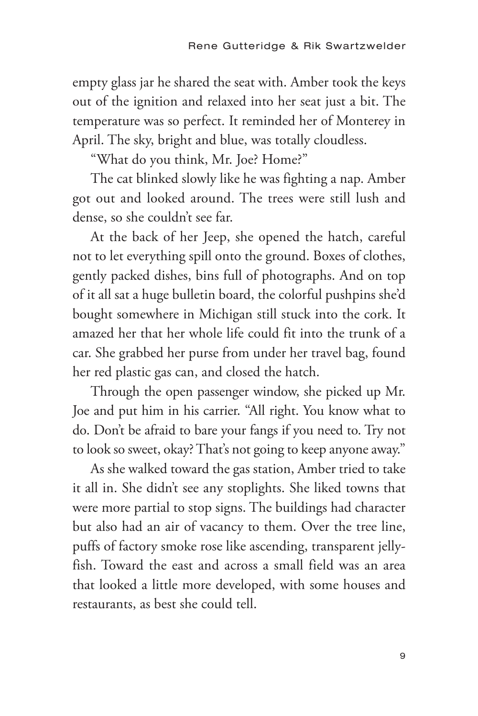empty glass jar he shared the seat with. Amber took the keys out of the ignition and relaxed into her seat just a bit. The temperature was so perfect. It reminded her of Monterey in April. The sky, bright and blue, was totally cloudless.

"What do you think, Mr. Joe? Home?"

The cat blinked slowly like he was fighting a nap. Amber got out and looked around. The trees were still lush and dense, so she couldn't see far.

At the back of her Jeep, she opened the hatch, careful not to let everything spill onto the ground. Boxes of clothes, gently packed dishes, bins full of photographs. And on top of it all sat a huge bulletin board, the colorful pushpins she'd bought somewhere in Michigan still stuck into the cork. It amazed her that her whole life could fit into the trunk of a car. She grabbed her purse from under her travel bag, found her red plastic gas can, and closed the hatch.

Through the open passenger window, she picked up Mr. Joe and put him in his carrier. "All right. You know what to do. Don't be afraid to bare your fangs if you need to. Try not to look so sweet, okay? That's not going to keep anyone away."

As she walked toward the gas station, Amber tried to take it all in. She didn't see any stoplights. She liked towns that were more partial to stop signs. The buildings had character but also had an air of vacancy to them. Over the tree line, puffs of factory smoke rose like ascending, transparent jellyfish. Toward the east and across a small field was an area that looked a little more developed, with some houses and restaurants, as best she could tell.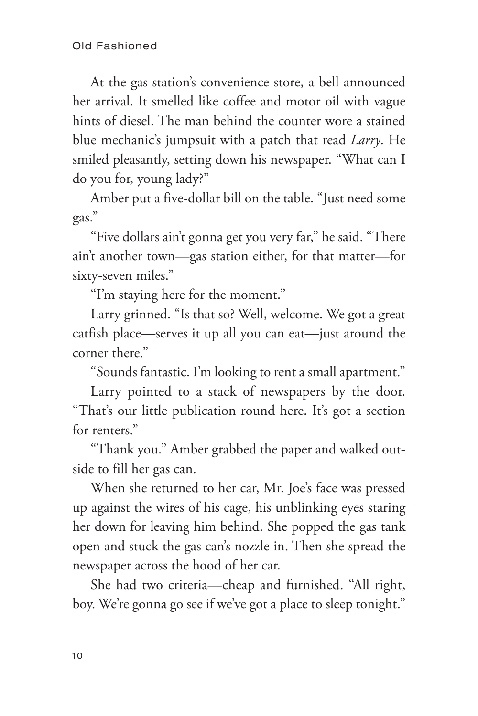At the gas station's convenience store, a bell announced her arrival. It smelled like coffee and motor oil with vague hints of diesel. The man behind the counter wore a stained blue mechanic's jumpsuit with a patch that read *Larry*. He smiled pleasantly, setting down his newspaper. "What can I do you for, young lady?"

Amber put a five-dollar bill on the table. "Just need some gas."

"Five dollars ain't gonna get you very far," he said. "There ain't another town—gas station either, for that matter—for sixty-seven miles."

"I'm staying here for the moment."

Larry grinned. "Is that so? Well, welcome. We got a great catfish place—serves it up all you can eat—just around the corner there."

"Sounds fantastic. I'm looking to rent a small apartment."

Larry pointed to a stack of newspapers by the door. "That's our little publication round here. It's got a section for renters."

"Thank you." Amber grabbed the paper and walked outside to fill her gas can.

When she returned to her car, Mr. Joe's face was pressed up against the wires of his cage, his unblinking eyes staring her down for leaving him behind. She popped the gas tank open and stuck the gas can's nozzle in. Then she spread the newspaper across the hood of her car.

She had two criteria— cheap and furnished. "All right, boy. We're gonna go see if we've got a place to sleep tonight."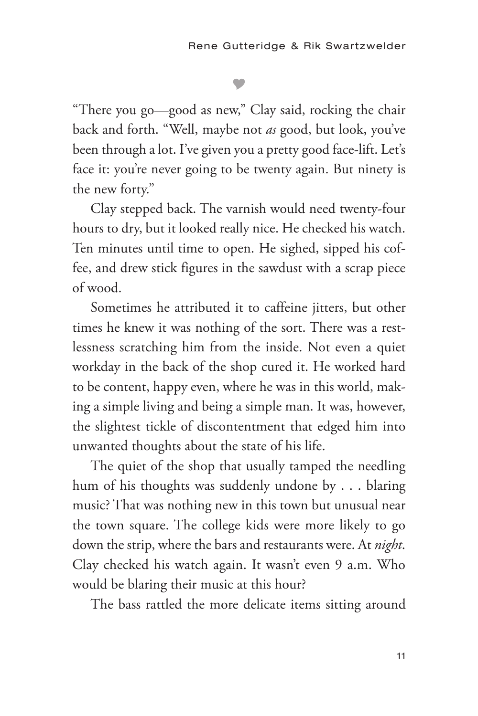### $\bullet$

"There you go—good as new," Clay said, rocking the chair back and forth. "Well, maybe not *as* good, but look, you've been through a lot. I've given you a pretty good face-lift. Let's face it: you're never going to be twenty again. But ninety is the new forty."

Clay stepped back. The varnish would need twenty-four hours to dry, but it looked really nice. He checked his watch. Ten minutes until time to open. He sighed, sipped his coffee, and drew stick figures in the sawdust with a scrap piece of wood.

Sometimes he attributed it to caffeine jitters, but other times he knew it was nothing of the sort. There was a restlessness scratching him from the inside. Not even a quiet workday in the back of the shop cured it. He worked hard to be content, happy even, where he was in this world, making a simple living and being a simple man. It was, however, the slightest tickle of discontentment that edged him into unwanted thoughts about the state of his life.

The quiet of the shop that usually tamped the needling hum of his thoughts was suddenly undone by . . . blaring music? That was nothing new in this town but unusual near the town square. The college kids were more likely to go down the strip, where the bars and restaurants were. At *night*. Clay checked his watch again. It wasn't even 9 a.m. Who would be blaring their music at this hour?

The bass rattled the more delicate items sitting around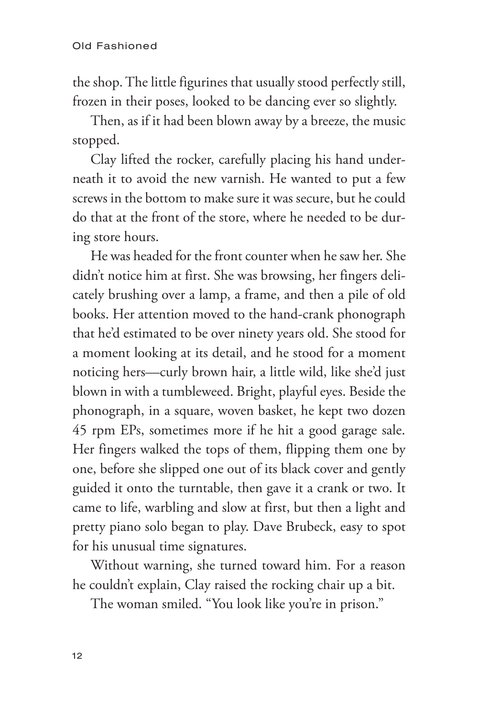the shop. The little figurines that usually stood perfectly still, frozen in their poses, looked to be dancing ever so slightly.

Then, as if it had been blown away by a breeze, the music stopped.

Clay lifted the rocker, carefully placing his hand underneath it to avoid the new varnish. He wanted to put a few screws in the bottom to make sure it was secure, but he could do that at the front of the store, where he needed to be during store hours.

He was headed for the front counter when he saw her. She didn't notice him at first. She was browsing, her fingers delicately brushing over a lamp, a frame, and then a pile of old books. Her attention moved to the hand-crank phonograph that he'd estimated to be over ninety years old. She stood for a moment looking at its detail, and he stood for a moment noticing hers—curly brown hair, a little wild, like she'd just blown in with a tumbleweed. Bright, playful eyes. Beside the phonograph, in a square, woven basket, he kept two dozen 45 rpm EPs, sometimes more if he hit a good garage sale. Her fingers walked the tops of them, flipping them one by one, before she slipped one out of its black cover and gently guided it onto the turntable, then gave it a crank or two. It came to life, warbling and slow at first, but then a light and pretty piano solo began to play. Dave Brubeck, easy to spot for his unusual time signatures.

Without warning, she turned toward him. For a reason he couldn't explain, Clay raised the rocking chair up a bit.

The woman smiled. "You look like you're in prison."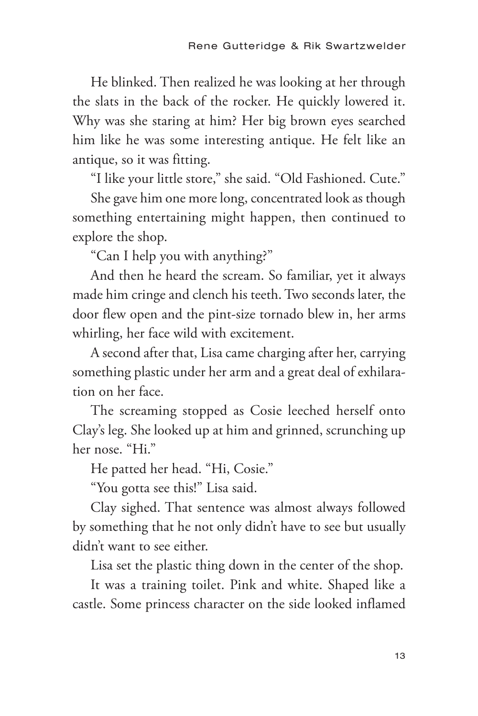He blinked. Then realized he was looking at her through the slats in the back of the rocker. He quickly lowered it. Why was she staring at him? Her big brown eyes searched him like he was some interesting antique. He felt like an antique, so it was fitting.

"I like your little store," she said. "Old Fashioned. Cute."

She gave him one more long, concentrated look as though something entertaining might happen, then continued to explore the shop.

"Can I help you with anything?"

And then he heard the scream. So familiar, yet it always made him cringe and clench his teeth. Two seconds later, the door flew open and the pint-size tornado blew in, her arms whirling, her face wild with excitement.

A second after that, Lisa came charging after her, carrying something plastic under her arm and a great deal of exhilaration on her face.

The screaming stopped as Cosie leeched herself onto Clay's leg. She looked up at him and grinned, scrunching up her nose. "Hi."

He patted her head. "Hi, Cosie."

"You gotta see this!" Lisa said.

Clay sighed. That sentence was almost always followed by something that he not only didn't have to see but usually didn't want to see either.

Lisa set the plastic thing down in the center of the shop.

It was a training toilet. Pink and white. Shaped like a castle. Some princess character on the side looked inflamed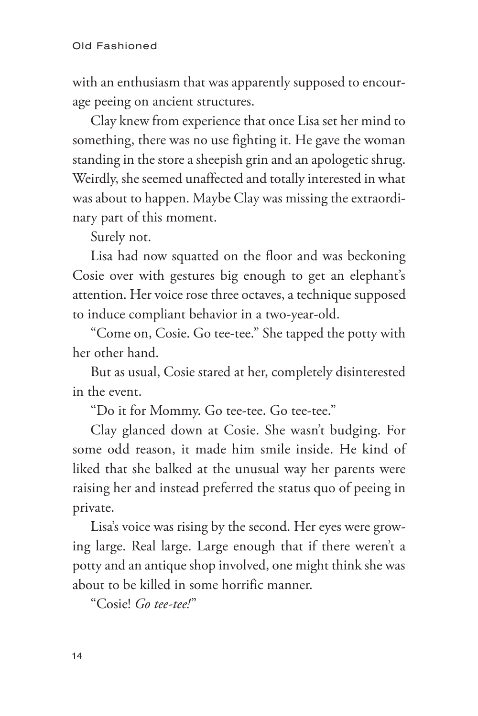with an enthusiasm that was apparently supposed to encourage peeing on ancient structures.

Clay knew from experience that once Lisa set her mind to something, there was no use fighting it. He gave the woman standing in the store a sheepish grin and an apologetic shrug. Weirdly, she seemed unaffected and totally interested in what was about to happen. Maybe Clay was missing the extraordinary part of this moment.

Surely not.

Lisa had now squatted on the floor and was beckoning Cosie over with gestures big enough to get an elephant's attention. Her voice rose three octaves, a technique supposed to induce compliant behavior in a two-year-old.

"Come on, Cosie. Go tee-tee." She tapped the potty with her other hand.

But as usual, Cosie stared at her, completely disinterested in the event.

"Do it for Mommy. Go tee-tee. Go tee-tee."

Clay glanced down at Cosie. She wasn't budging. For some odd reason, it made him smile inside. He kind of liked that she balked at the unusual way her parents were raising her and instead preferred the status quo of peeing in private.

Lisa's voice was rising by the second. Her eyes were growing large. Real large. Large enough that if there weren't a potty and an antique shop involved, one might think she was about to be killed in some horrific manner.

"Cosie! *Go tee-tee!*"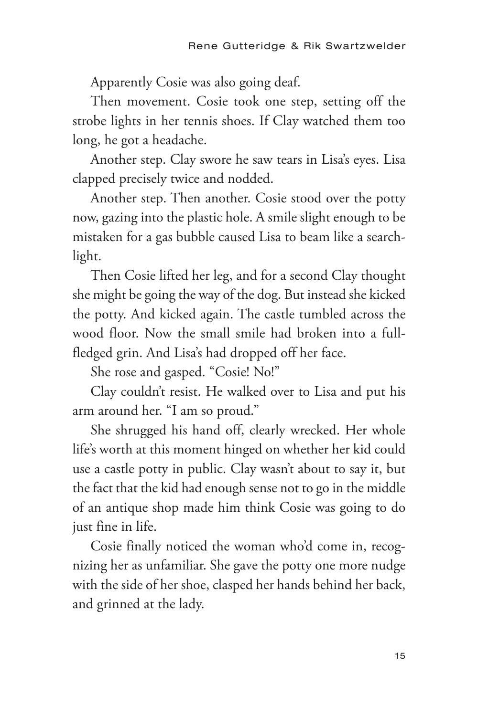Apparently Cosie was also going deaf.

Then movement. Cosie took one step, setting off the strobe lights in her tennis shoes. If Clay watched them too long, he got a headache.

Another step. Clay swore he saw tears in Lisa's eyes. Lisa clapped precisely twice and nodded.

Another step. Then another. Cosie stood over the potty now, gazing into the plastic hole. A smile slight enough to be mistaken for a gas bubble caused Lisa to beam like a searchlight.

Then Cosie lifted her leg, and for a second Clay thought she might be going the way of the dog. But instead she kicked the potty. And kicked again. The castle tumbled across the wood floor. Now the small smile had broken into a fullfledged grin. And Lisa's had dropped off her face.

She rose and gasped. "Cosie! No!"

Clay couldn't resist. He walked over to Lisa and put his arm around her. "I am so proud."

She shrugged his hand off, clearly wrecked. Her whole life's worth at this moment hinged on whether her kid could use a castle potty in public. Clay wasn't about to say it, but the fact that the kid had enough sense not to go in the middle of an antique shop made him think Cosie was going to do just fine in life.

Cosie finally noticed the woman who'd come in, recognizing her as unfamiliar. She gave the potty one more nudge with the side of her shoe, clasped her hands behind her back, and grinned at the lady.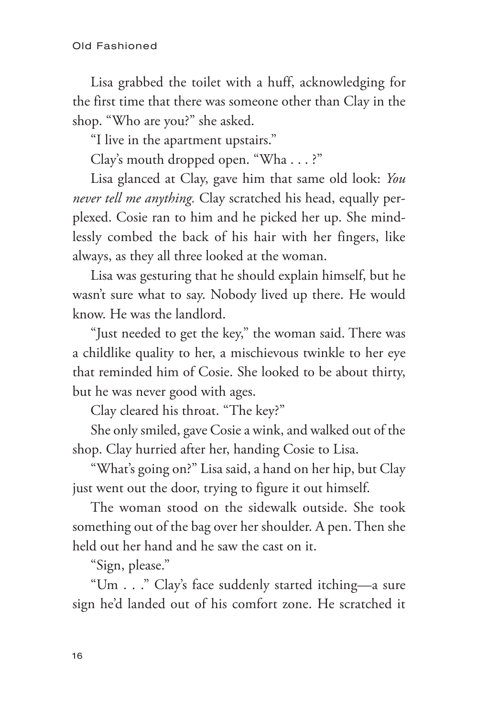Lisa grabbed the toilet with a huff, acknowledging for the first time that there was someone other than Clay in the shop. "Who are you?" she asked.

"I live in the apartment upstairs."

Clay's mouth dropped open. "Wha . . . ?"

Lisa glanced at Clay, gave him that same old look: *You never tell me anything.* Clay scratched his head, equally perplexed. Cosie ran to him and he picked her up. She mindlessly combed the back of his hair with her fingers, like always, as they all three looked at the woman.

Lisa was gesturing that he should explain himself, but he wasn't sure what to say. Nobody lived up there. He would know. He was the landlord.

"Just needed to get the key," the woman said. There was a childlike quality to her, a mischievous twinkle to her eye that reminded him of Cosie. She looked to be about thirty, but he was never good with ages.

Clay cleared his throat. "The key?"

She only smiled, gave Cosie a wink, and walked out of the shop. Clay hurried after her, handing Cosie to Lisa.

"What's going on?" Lisa said, a hand on her hip, but Clay just went out the door, trying to figure it out himself.

The woman stood on the sidewalk outside. She took something out of the bag over her shoulder. A pen. Then she held out her hand and he saw the cast on it.

"Sign, please."

"Um . . ." Clay's face suddenly started itching—a sure sign he'd landed out of his comfort zone. He scratched it